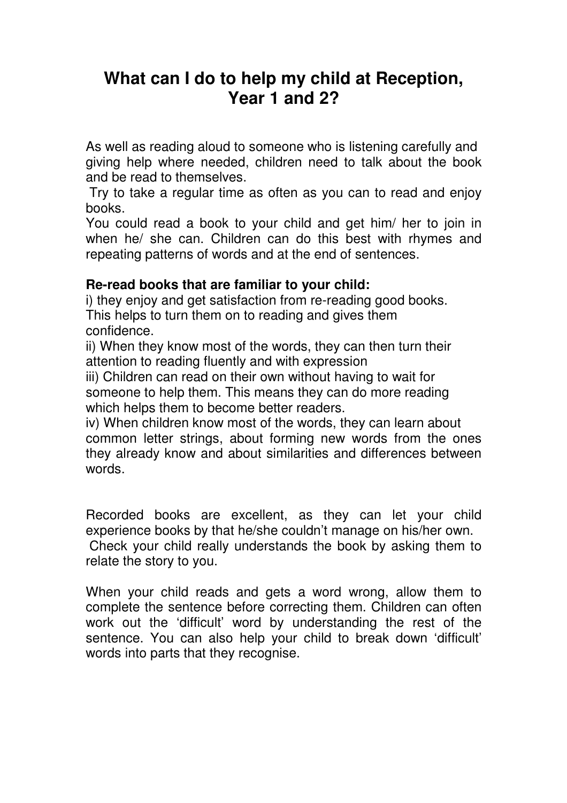## **What can I do to help my child at Reception, Year 1 and 2?**

As well as reading aloud to someone who is listening carefully and giving help where needed, children need to talk about the book and be read to themselves.

 Try to take a regular time as often as you can to read and enjoy books.

You could read a book to your child and get him/ her to join in when he/ she can. Children can do this best with rhymes and repeating patterns of words and at the end of sentences.

## **Re-read books that are familiar to your child:**

i) they enjoy and get satisfaction from re-reading good books. This helps to turn them on to reading and gives them confidence.

ii) When they know most of the words, they can then turn their attention to reading fluently and with expression

iii) Children can read on their own without having to wait for someone to help them. This means they can do more reading which helps them to become better readers.

iv) When children know most of the words, they can learn about common letter strings, about forming new words from the ones they already know and about similarities and differences between words.

Recorded books are excellent, as they can let your child experience books by that he/she couldn't manage on his/her own. Check your child really understands the book by asking them to relate the story to you.

When your child reads and gets a word wrong, allow them to complete the sentence before correcting them. Children can often work out the 'difficult' word by understanding the rest of the sentence. You can also help your child to break down 'difficult' words into parts that they recognise.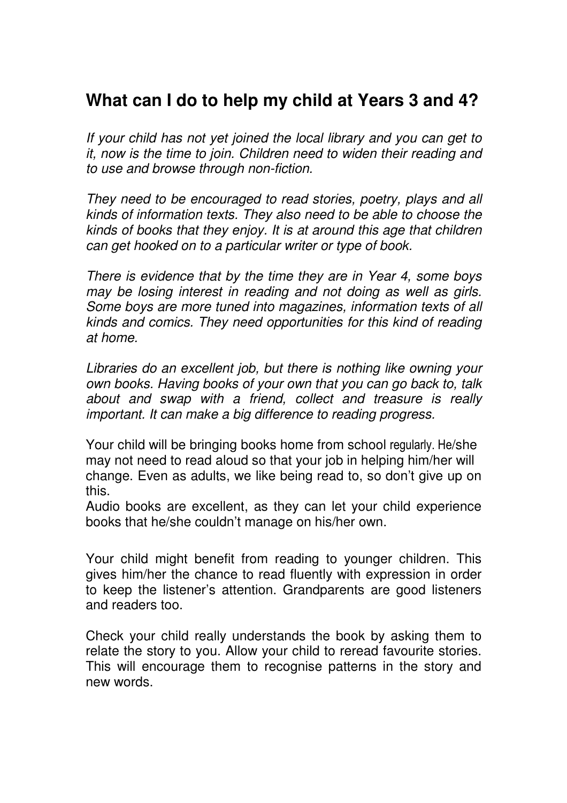## **What can I do to help my child at Years 3 and 4?**

If your child has not yet joined the local library and you can get to it, now is the time to join. Children need to widen their reading and to use and browse through non-fiction.

They need to be encouraged to read stories, poetry, plays and all kinds of information texts. They also need to be able to choose the kinds of books that they enjoy. It is at around this age that children can get hooked on to a particular writer or type of book.

There is evidence that by the time they are in Year 4, some boys may be losing interest in reading and not doing as well as girls. Some boys are more tuned into magazines, information texts of all kinds and comics. They need opportunities for this kind of reading at home.

Libraries do an excellent job, but there is nothing like owning your own books. Having books of your own that you can go back to, talk about and swap with a friend, collect and treasure is really important. It can make a big difference to reading progress.

Your child will be bringing books home from school regularly. He/she may not need to read aloud so that your job in helping him/her will change. Even as adults, we like being read to, so don't give up on this.

Audio books are excellent, as they can let your child experience books that he/she couldn't manage on his/her own.

Your child might benefit from reading to younger children. This gives him/her the chance to read fluently with expression in order to keep the listener's attention. Grandparents are good listeners and readers too.

Check your child really understands the book by asking them to relate the story to you. Allow your child to reread favourite stories. This will encourage them to recognise patterns in the story and new words.